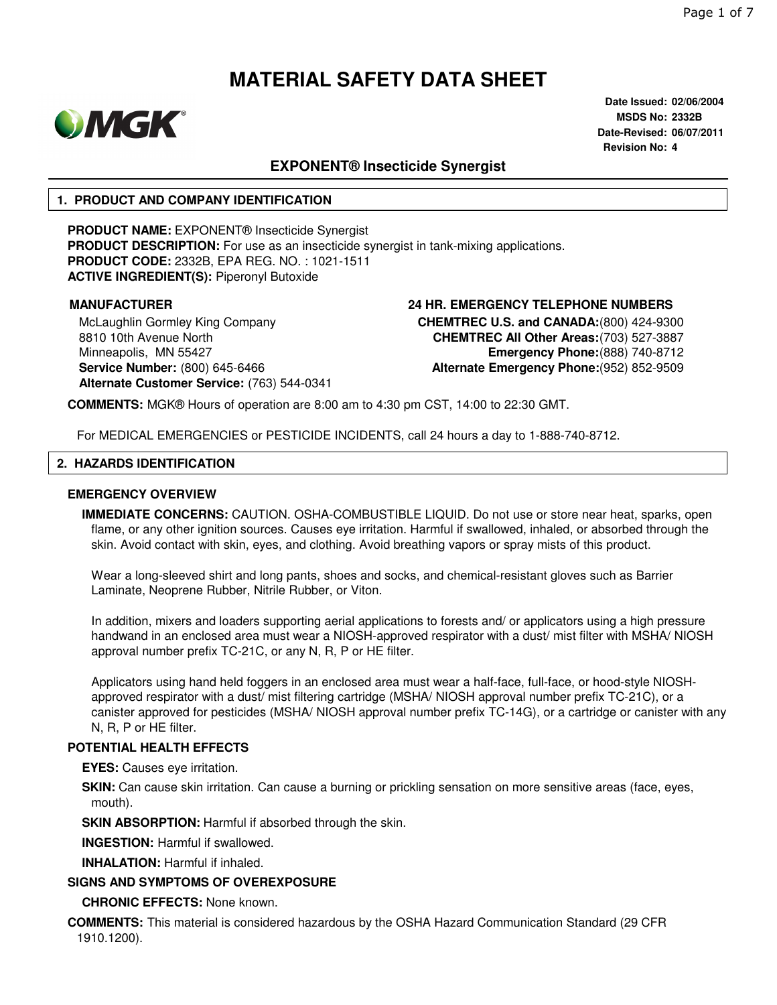

**Date Issued: 02/06/2004 MSDS No: 2332B Date-Revised: 06/07/2011 Revision No: 4**

# **EXPONENT® Insecticide Synergist**

### **1. PRODUCT AND COMPANY IDENTIFICATION**

**PRODUCT NAME:** EXPONENT® Insecticide Synergist **PRODUCT DESCRIPTION:** For use as an insecticide synergist in tank-mixing applications. **PRODUCT CODE:** 2332B, EPA REG. NO. : 1021-1511 **ACTIVE INGREDIENT(S):** Piperonyl Butoxide

McLaughlin Gormley King Company 8810 10th Avenue North Minneapolis, MN 55427 **Service Number:** (800) 645-6466 **Alternate Customer Service:** (763) 544-0341

### **MANUFACTURER 24 HR. EMERGENCY TELEPHONE NUMBERS CHEMTREC U.S. and CANADA:**(800) 424-9300 **CHEMTREC All Other Areas:**(703) 527-3887 **Emergency Phone:**(888) 740-8712 **Alternate Emergency Phone:**(952) 852-9509

**COMMENTS:** MGK® Hours of operation are 8:00 am to 4:30 pm CST, 14:00 to 22:30 GMT.

For MEDICAL EMERGENCIES or PESTICIDE INCIDENTS, call 24 hours a day to 1-888-740-8712.

### **2. HAZARDS IDENTIFICATION**

### **EMERGENCY OVERVIEW**

**IMMEDIATE CONCERNS:** CAUTION. OSHA-COMBUSTIBLE LIQUID. Do not use or store near heat, sparks, open flame, or any other ignition sources. Causes eye irritation. Harmful if swallowed, inhaled, or absorbed through the skin. Avoid contact with skin, eyes, and clothing. Avoid breathing vapors or spray mists of this product.

Wear a long-sleeved shirt and long pants, shoes and socks, and chemical-resistant gloves such as Barrier Laminate, Neoprene Rubber, Nitrile Rubber, or Viton.

In addition, mixers and loaders supporting aerial applications to forests and/ or applicators using a high pressure handwand in an enclosed area must wear a NIOSH-approved respirator with a dust/ mist filter with MSHA/ NIOSH approval number prefix TC-21C, or any N, R, P or HE filter.

Applicators using hand held foggers in an enclosed area must wear a half-face, full-face, or hood-style NIOSHapproved respirator with a dust/ mist filtering cartridge (MSHA/ NIOSH approval number prefix TC-21C), or a canister approved for pesticides (MSHA/ NIOSH approval number prefix TC-14G), or a cartridge or canister with any N, R, P or HE filter.

### **POTENTIAL HEALTH EFFECTS**

**EYES:** Causes eye irritation.

**SKIN:** Can cause skin irritation. Can cause a burning or prickling sensation on more sensitive areas (face, eyes, mouth).

**SKIN ABSORPTION: Harmful if absorbed through the skin.** 

**INGESTION:** Harmful if swallowed.

**INHALATION:** Harmful if inhaled.

### **SIGNS AND SYMPTOMS OF OVEREXPOSURE**

**CHRONIC EFFECTS:** None known.

**COMMENTS:** This material is considered hazardous by the OSHA Hazard Communication Standard (29 CFR 1910.1200).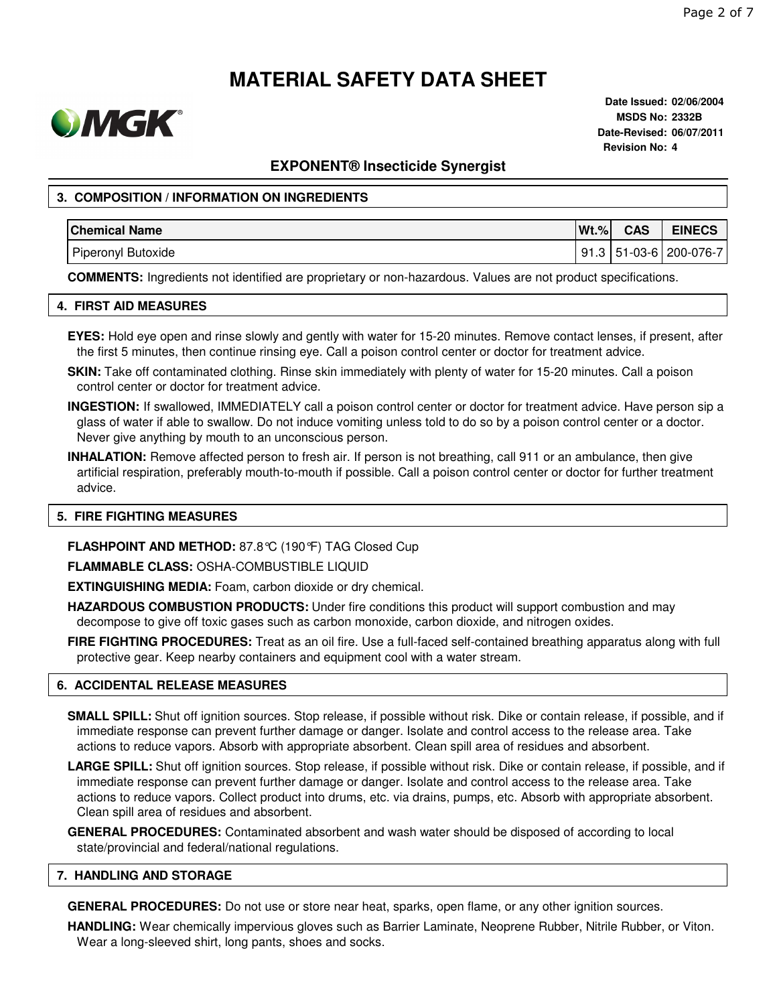

**Date Issued: 02/06/2004 MSDS No: 2332B Date-Revised: 06/07/2011 Revision No: 4**

### **EXPONENT® Insecticide Synergist**

### **3. COMPOSITION / INFORMATION ON INGREDIENTS**

| <b>Chemical Name</b>      | $Wt.$ % | <b>CAS</b> | <b>EINECS</b>                |
|---------------------------|---------|------------|------------------------------|
| <b>Piperonyl Butoxide</b> |         |            | l 91.3   51-03-6   200-076-7 |

**COMMENTS:** Ingredients not identified are proprietary or non-hazardous. Values are not product specifications.

### **4. FIRST AID MEASURES**

- **EYES:** Hold eye open and rinse slowly and gently with water for 15-20 minutes. Remove contact lenses, if present, after the first 5 minutes, then continue rinsing eye. Call a poison control center or doctor for treatment advice.
- **SKIN:** Take off contaminated clothing. Rinse skin immediately with plenty of water for 15-20 minutes. Call a poison control center or doctor for treatment advice.
- **INGESTION:** If swallowed, IMMEDIATELY call a poison control center or doctor for treatment advice. Have person sip a glass of water if able to swallow. Do not induce vomiting unless told to do so by a poison control center or a doctor. Never give anything by mouth to an unconscious person.
- **INHALATION:** Remove affected person to fresh air. If person is not breathing, call 911 or an ambulance, then give artificial respiration, preferably mouth-to-mouth if possible. Call a poison control center or doctor for further treatment advice.

### **5. FIRE FIGHTING MEASURES**

**FLASHPOINT AND METHOD:** 87.8°C (190°F) TAG Closed Cup

**FLAMMABLE CLASS:** OSHA-COMBUSTIBLE LIQUID

**EXTINGUISHING MEDIA:** Foam, carbon dioxide or dry chemical.

- **HAZARDOUS COMBUSTION PRODUCTS:** Under fire conditions this product will support combustion and may decompose to give off toxic gases such as carbon monoxide, carbon dioxide, and nitrogen oxides.
- **FIRE FIGHTING PROCEDURES:** Treat as an oil fire. Use a full-faced self-contained breathing apparatus along with full protective gear. Keep nearby containers and equipment cool with a water stream.

### **6. ACCIDENTAL RELEASE MEASURES**

**SMALL SPILL:** Shut off ignition sources. Stop release, if possible without risk. Dike or contain release, if possible, and if immediate response can prevent further damage or danger. Isolate and control access to the release area. Take actions to reduce vapors. Absorb with appropriate absorbent. Clean spill area of residues and absorbent.

**LARGE SPILL:** Shut off ignition sources. Stop release, if possible without risk. Dike or contain release, if possible, and if immediate response can prevent further damage or danger. Isolate and control access to the release area. Take actions to reduce vapors. Collect product into drums, etc. via drains, pumps, etc. Absorb with appropriate absorbent. Clean spill area of residues and absorbent.

**GENERAL PROCEDURES:** Contaminated absorbent and wash water should be disposed of according to local state/provincial and federal/national regulations.

#### **7. HANDLING AND STORAGE**

**GENERAL PROCEDURES:** Do not use or store near heat, sparks, open flame, or any other ignition sources.

**HANDLING:** Wear chemically impervious gloves such as Barrier Laminate, Neoprene Rubber, Nitrile Rubber, or Viton. Wear a long-sleeved shirt, long pants, shoes and socks.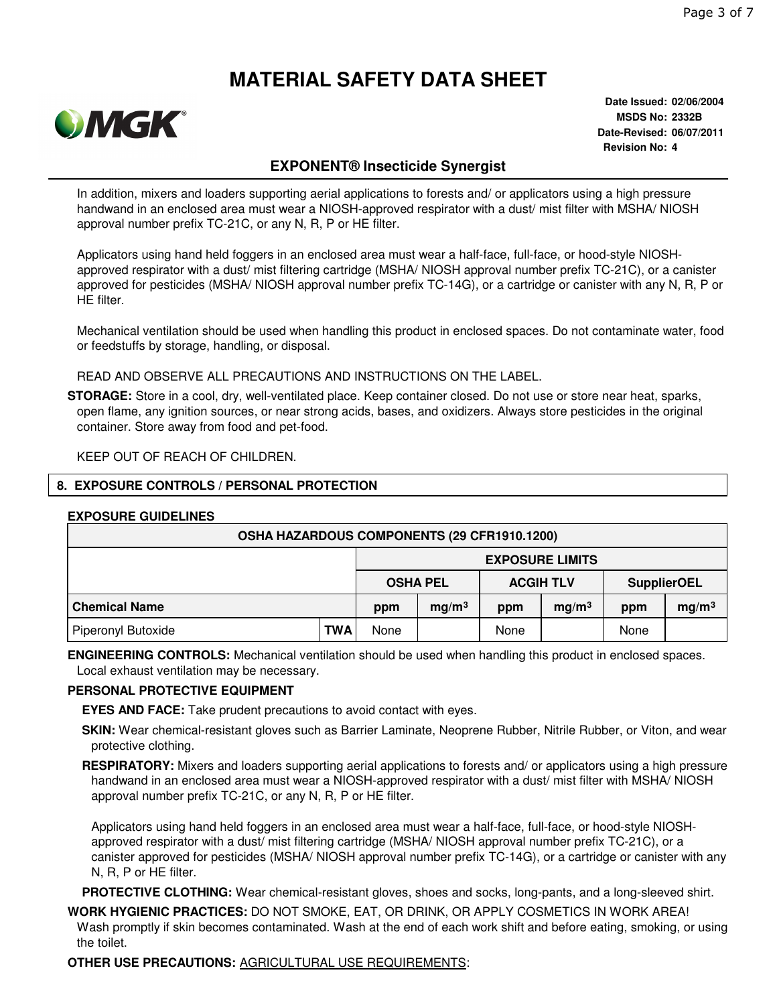

**Date Issued: 02/06/2004 MSDS No: 2332B Date-Revised: 06/07/2011 Revision No: 4**

# **EXPONENT® Insecticide Synergist**

In addition, mixers and loaders supporting aerial applications to forests and/ or applicators using a high pressure handwand in an enclosed area must wear a NIOSH-approved respirator with a dust/ mist filter with MSHA/ NIOSH approval number prefix TC-21C, or any N, R, P or HE filter.

Applicators using hand held foggers in an enclosed area must wear a half-face, full-face, or hood-style NIOSHapproved respirator with a dust/ mist filtering cartridge (MSHA/ NIOSH approval number prefix TC-21C), or a canister approved for pesticides (MSHA/ NIOSH approval number prefix TC-14G), or a cartridge or canister with any N, R, P or HE filter.

Mechanical ventilation should be used when handling this product in enclosed spaces. Do not contaminate water, food or feedstuffs by storage, handling, or disposal.

READ AND OBSERVE ALL PRECAUTIONS AND INSTRUCTIONS ON THE LABEL.

**STORAGE:** Store in a cool, dry, well-ventilated place. Keep container closed. Do not use or store near heat, sparks, open flame, any ignition sources, or near strong acids, bases, and oxidizers. Always store pesticides in the original container. Store away from food and pet-food.

KEEP OUT OF REACH OF CHILDREN.

### **8. EXPOSURE CONTROLS / PERSONAL PROTECTION**

### **EXPOSURE GUIDELINES**

| OSHA HAZARDOUS COMPONENTS (29 CFR1910.1200) |            |                                     |                   |      |                    |      |                   |  |
|---------------------------------------------|------------|-------------------------------------|-------------------|------|--------------------|------|-------------------|--|
|                                             |            | <b>EXPOSURE LIMITS</b>              |                   |      |                    |      |                   |  |
|                                             |            | <b>ACGIH TLV</b><br><b>OSHA PEL</b> |                   |      | <b>SupplierOEL</b> |      |                   |  |
| <b>Chemical Name</b>                        |            | ppm                                 | mg/m <sup>3</sup> | ppm  | mg/m <sup>3</sup>  | ppm  | mg/m <sup>3</sup> |  |
| Piperonyl Butoxide                          | <b>TWA</b> | None                                |                   | None |                    | None |                   |  |

**ENGINEERING CONTROLS:** Mechanical ventilation should be used when handling this product in enclosed spaces. Local exhaust ventilation may be necessary.

### **PERSONAL PROTECTIVE EQUIPMENT**

**EYES AND FACE:** Take prudent precautions to avoid contact with eyes.

**SKIN:** Wear chemical-resistant gloves such as Barrier Laminate, Neoprene Rubber, Nitrile Rubber, or Viton, and wear protective clothing.

**RESPIRATORY:** Mixers and loaders supporting aerial applications to forests and/ or applicators using a high pressure handwand in an enclosed area must wear a NIOSH-approved respirator with a dust/ mist filter with MSHA/ NIOSH approval number prefix TC-21C, or any N, R, P or HE filter.

Applicators using hand held foggers in an enclosed area must wear a half-face, full-face, or hood-style NIOSHapproved respirator with a dust/ mist filtering cartridge (MSHA/ NIOSH approval number prefix TC-21C), or a canister approved for pesticides (MSHA/ NIOSH approval number prefix TC-14G), or a cartridge or canister with any N, R, P or HE filter.

**PROTECTIVE CLOTHING:** Wear chemical-resistant gloves, shoes and socks, long-pants, and a long-sleeved shirt.

**WORK HYGIENIC PRACTICES:** DO NOT SMOKE, EAT, OR DRINK, OR APPLY COSMETICS IN WORK AREA! Wash promptly if skin becomes contaminated. Wash at the end of each work shift and before eating, smoking, or using the toilet.

**OTHER USE PRECAUTIONS:** AGRICULTURAL USE REQUIREMENTS: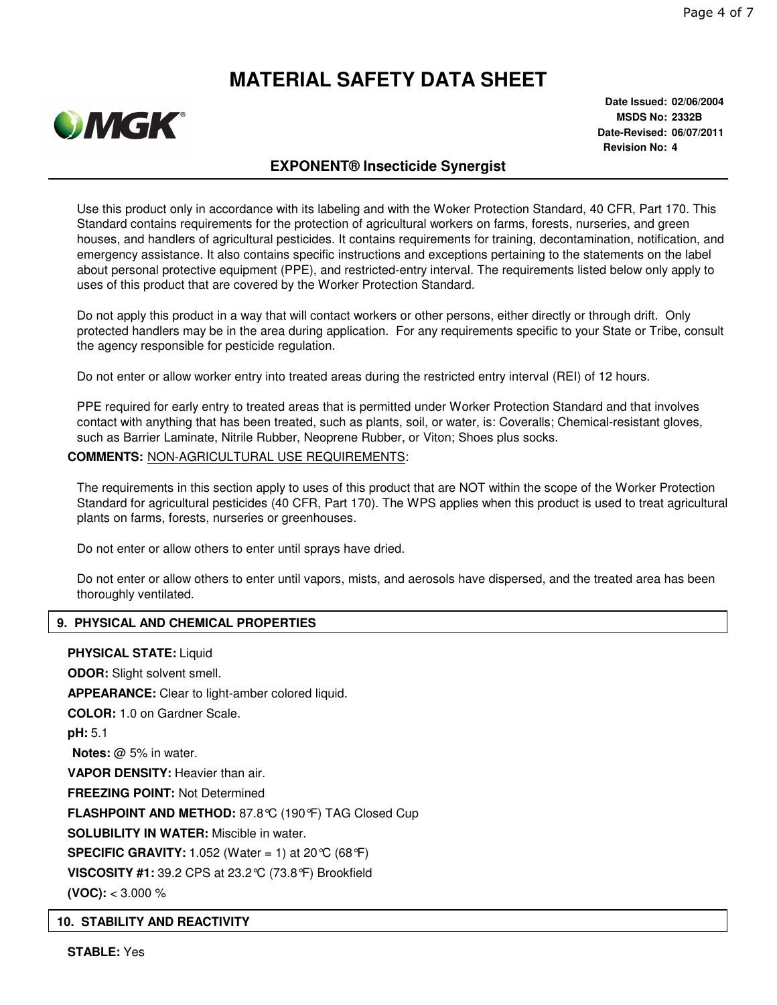

**Date Issued: 02/06/2004 MSDS No: 2332B Date-Revised: 06/07/2011 Revision No: 4**

# **EXPONENT® Insecticide Synergist**

Use this product only in accordance with its labeling and with the Woker Protection Standard, 40 CFR, Part 170. This Standard contains requirements for the protection of agricultural workers on farms, forests, nurseries, and green houses, and handlers of agricultural pesticides. It contains requirements for training, decontamination, notification, and emergency assistance. It also contains specific instructions and exceptions pertaining to the statements on the label about personal protective equipment (PPE), and restricted-entry interval. The requirements listed below only apply to uses of this product that are covered by the Worker Protection Standard.

Do not apply this product in a way that will contact workers or other persons, either directly or through drift. Only protected handlers may be in the area during application. For any requirements specific to your State or Tribe, consult the agency responsible for pesticide regulation.

Do not enter or allow worker entry into treated areas during the restricted entry interval (REI) of 12 hours.

PPE required for early entry to treated areas that is permitted under Worker Protection Standard and that involves contact with anything that has been treated, such as plants, soil, or water, is: Coveralls; Chemical-resistant gloves, such as Barrier Laminate, Nitrile Rubber, Neoprene Rubber, or Viton; Shoes plus socks.

### **COMMENTS:** NON-AGRICULTURAL USE REQUIREMENTS:

The requirements in this section apply to uses of this product that are NOT within the scope of the Worker Protection Standard for agricultural pesticides (40 CFR, Part 170). The WPS applies when this product is used to treat agricultural plants on farms, forests, nurseries or greenhouses.

Do not enter or allow others to enter until sprays have dried.

Do not enter or allow others to enter until vapors, mists, and aerosols have dispersed, and the treated area has been thoroughly ventilated.

### **9. PHYSICAL AND CHEMICAL PROPERTIES**

# **PHYSICAL STATE:** Liquid

**ODOR:** Slight solvent smell. **APPEARANCE:** Clear to light-amber colored liquid. **COLOR:** 1.0 on Gardner Scale. **pH:** 5.1 **Notes:** @ 5% in water. **VAPOR DENSITY:** Heavier than air. **FREEZING POINT:** Not Determined **FLASHPOINT AND METHOD:** 87.8°C (190°F) TAG Closed Cup **SOLUBILITY IN WATER:** Miscible in water. **SPECIFIC GRAVITY:** 1.052 (Water = 1) at 20 °C (68 °F) **VISCOSITY #1:** 39.2 CPS at 23.2°C (73.8°F) Brookfield **(VOC):** < 3.000 %

### **10. STABILITY AND REACTIVITY**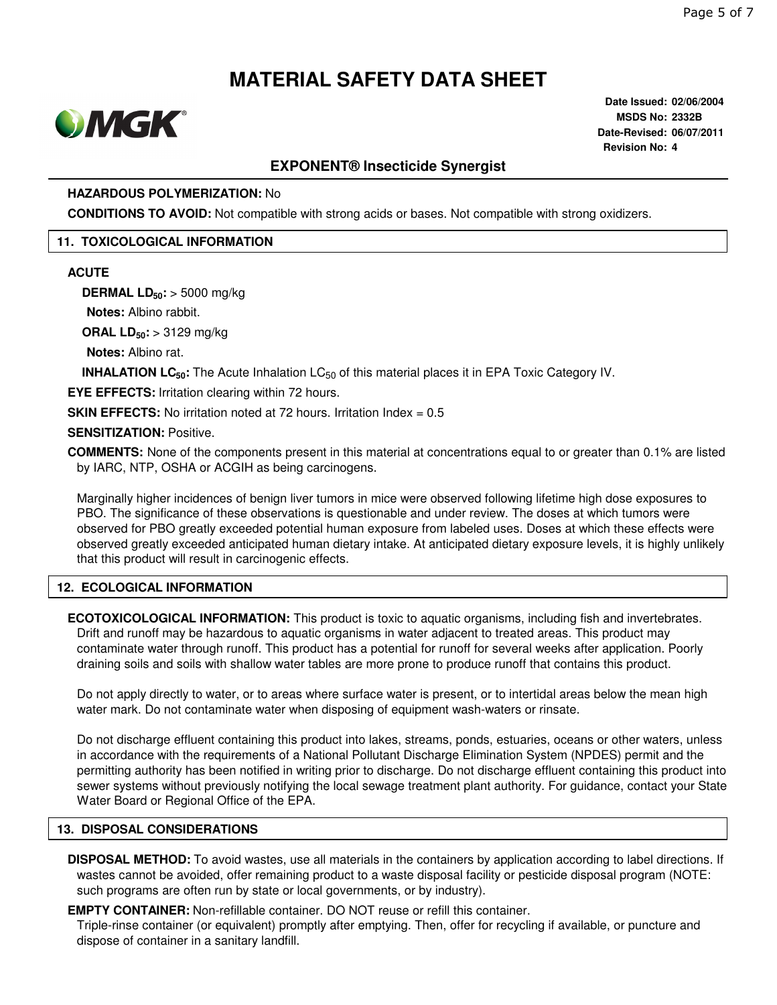

**Date Issued: 02/06/2004 MSDS No: 2332B Date-Revised: 06/07/2011 Revision No: 4**

# **EXPONENT® Insecticide Synergist**

### **HAZARDOUS POLYMERIZATION:** No

**CONDITIONS TO AVOID:** Not compatible with strong acids or bases. Not compatible with strong oxidizers.

### **11. TOXICOLOGICAL INFORMATION**

#### **ACUTE**

**DERMAL LD50:** > 5000 mg/kg

**Notes:** Albino rabbit.

**ORAL LD50:** > 3129 mg/kg

**Notes:** Albino rat.

**INHALATION LC<sub>50</sub>**: The Acute Inhalation LC<sub>50</sub> of this material places it in EPA Toxic Category IV.

**EYE EFFECTS:** Irritation clearing within 72 hours.

**SKIN EFFECTS:** No irritation noted at 72 hours. Irritation Index = 0.5

### **SENSITIZATION:** Positive.

**COMMENTS:** None of the components present in this material at concentrations equal to or greater than 0.1% are listed by IARC, NTP, OSHA or ACGIH as being carcinogens.

Marginally higher incidences of benign liver tumors in mice were observed following lifetime high dose exposures to PBO. The significance of these observations is questionable and under review. The doses at which tumors were observed for PBO greatly exceeded potential human exposure from labeled uses. Doses at which these effects were observed greatly exceeded anticipated human dietary intake. At anticipated dietary exposure levels, it is highly unlikely that this product will result in carcinogenic effects.

### **12. ECOLOGICAL INFORMATION**

**ECOTOXICOLOGICAL INFORMATION:** This product is toxic to aquatic organisms, including fish and invertebrates. Drift and runoff may be hazardous to aquatic organisms in water adjacent to treated areas. This product may contaminate water through runoff. This product has a potential for runoff for several weeks after application. Poorly draining soils and soils with shallow water tables are more prone to produce runoff that contains this product.

Do not apply directly to water, or to areas where surface water is present, or to intertidal areas below the mean high water mark. Do not contaminate water when disposing of equipment wash-waters or rinsate.

Do not discharge effluent containing this product into lakes, streams, ponds, estuaries, oceans or other waters, unless in accordance with the requirements of a National Pollutant Discharge Elimination System (NPDES) permit and the permitting authority has been notified in writing prior to discharge. Do not discharge effluent containing this product into sewer systems without previously notifying the local sewage treatment plant authority. For guidance, contact your State Water Board or Regional Office of the EPA.

### **13. DISPOSAL CONSIDERATIONS**

**DISPOSAL METHOD:** To avoid wastes, use all materials in the containers by application according to label directions. If wastes cannot be avoided, offer remaining product to a waste disposal facility or pesticide disposal program (NOTE: such programs are often run by state or local governments, or by industry).

**EMPTY CONTAINER:** Non-refillable container. DO NOT reuse or refill this container.

Triple-rinse container (or equivalent) promptly after emptying. Then, offer for recycling if available, or puncture and dispose of container in a sanitary landfill.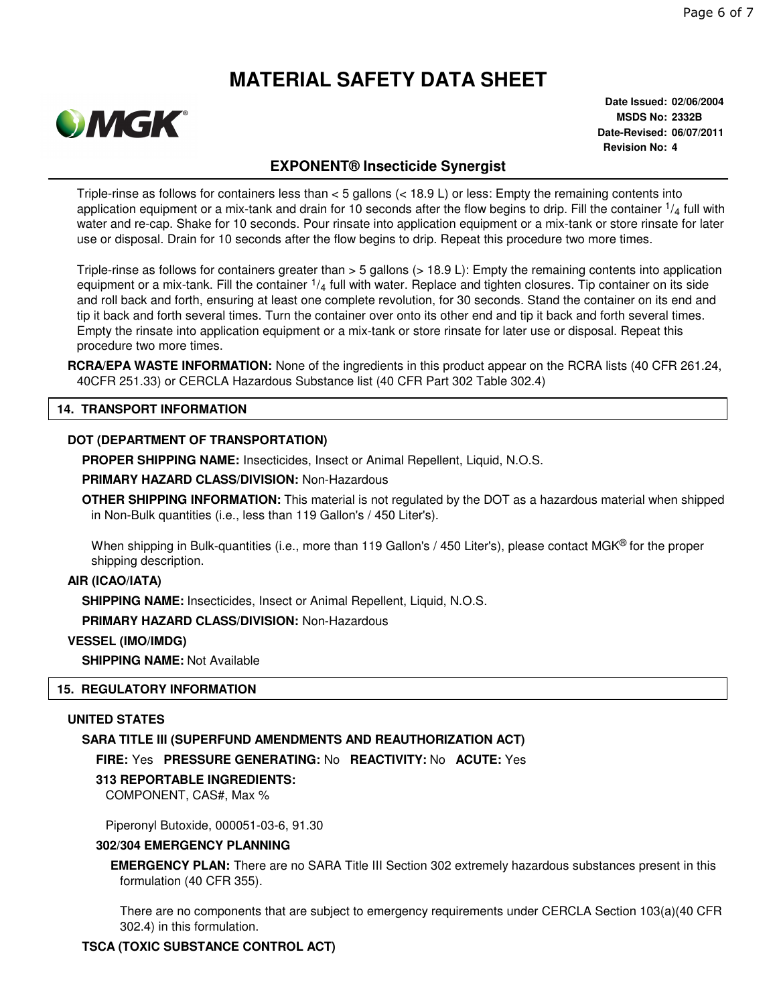

**Date Issued: 02/06/2004 MSDS No: 2332B Date-Revised: 06/07/2011 Revision No: 4**

# **EXPONENT® Insecticide Synergist**

Triple-rinse as follows for containers less than < 5 gallons (< 18.9 L) or less: Empty the remaining contents into application equipment or a mix-tank and drain for 10 seconds after the flow begins to drip. Fill the container  $\frac{1}{4}$  full with water and re-cap. Shake for 10 seconds. Pour rinsate into application equipment or a mix-tank or store rinsate for later use or disposal. Drain for 10 seconds after the flow begins to drip. Repeat this procedure two more times.

Triple-rinse as follows for containers greater than > 5 gallons (> 18.9 L): Empty the remaining contents into application equipment or a mix-tank. Fill the container  $\frac{1}{4}$  full with water. Replace and tighten closures. Tip container on its side and roll back and forth, ensuring at least one complete revolution, for 30 seconds. Stand the container on its end and tip it back and forth several times. Turn the container over onto its other end and tip it back and forth several times. Empty the rinsate into application equipment or a mix-tank or store rinsate for later use or disposal. Repeat this procedure two more times.

**RCRA/EPA WASTE INFORMATION:** None of the ingredients in this product appear on the RCRA lists (40 CFR 261.24, 40CFR 251.33) or CERCLA Hazardous Substance list (40 CFR Part 302 Table 302.4)

### **14. TRANSPORT INFORMATION**

### **DOT (DEPARTMENT OF TRANSPORTATION)**

**PROPER SHIPPING NAME:** Insecticides, Insect or Animal Repellent, Liquid, N.O.S.

**PRIMARY HAZARD CLASS/DIVISION:** Non-Hazardous

**OTHER SHIPPING INFORMATION:** This material is not regulated by the DOT as a hazardous material when shipped in Non-Bulk quantities (i.e., less than 119 Gallon's / 450 Liter's).

When shipping in Bulk-quantities (i.e., more than 119 Gallon's / 450 Liter's), please contact MGK<sup>®</sup> for the proper shipping description.

#### **AIR (ICAO/IATA)**

**SHIPPING NAME:** Insecticides, Insect or Animal Repellent, Liquid, N.O.S.

**PRIMARY HAZARD CLASS/DIVISION:** Non-Hazardous

**VESSEL (IMO/IMDG)**

**SHIPPING NAME:** Not Available

### **15. REGULATORY INFORMATION**

### **UNITED STATES**

### **SARA TITLE III (SUPERFUND AMENDMENTS AND REAUTHORIZATION ACT)**

**FIRE:** Yes **PRESSURE GENERATING:** No **REACTIVITY:** No **ACUTE:** Yes

### **313 REPORTABLE INGREDIENTS:**

COMPONENT, CAS#, Max %

Piperonyl Butoxide, 000051-03-6, 91.30

### **302/304 EMERGENCY PLANNING**

**EMERGENCY PLAN:** There are no SARA Title III Section 302 extremely hazardous substances present in this formulation (40 CFR 355).

There are no components that are subject to emergency requirements under CERCLA Section 103(a)(40 CFR 302.4) in this formulation.

### **TSCA (TOXIC SUBSTANCE CONTROL ACT)**